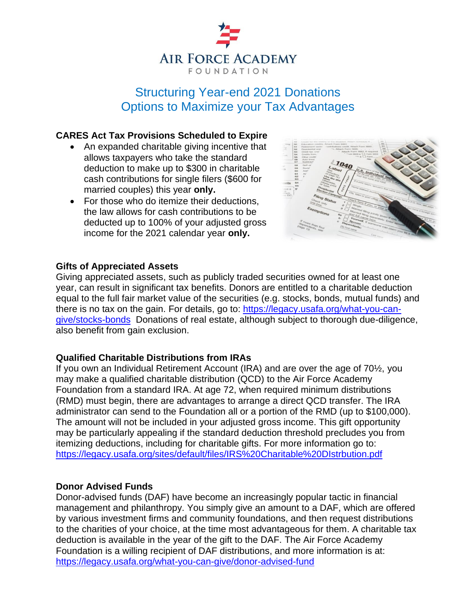

# Structuring Year-end 2021 Donations Options to Maximize your Tax Advantages

## **CARES Act Tax Provisions Scheduled to Expire**

- An expanded charitable giving incentive that allows taxpayers who take the standard deduction to make up to \$300 in charitable cash contributions for single filers (\$600 for married couples) this year **only.**
- For those who do itemize their deductions, the law allows for cash contributions to be deducted up to 100% of your adjusted gross income for the 2021 calendar year **only.**



#### **Gifts of Appreciated Assets**

Giving appreciated assets, such as publicly traded securities owned for at least one year, can result in significant tax benefits. Donors are entitled to a charitable deduction equal to the full fair market value of the securities (e.g. stocks, bonds, mutual funds) and there is no tax on the gain. For details, go to: [https://legacy.usafa.org/what-you-can](https://legacy.usafa.org/what-you-can-give/stocks-bonds)[give/stocks-bonds](https://legacy.usafa.org/what-you-can-give/stocks-bonds) Donations of real estate, although subject to thorough due-diligence, also benefit from gain exclusion.

#### **Qualified Charitable Distributions from IRAs**

If you own an Individual Retirement Account (IRA) and are over the age of 70½, you may make a qualified charitable distribution (QCD) to the Air Force Academy Foundation from a standard IRA. At age 72, when required minimum distributions (RMD) must begin, there are advantages to arrange a direct QCD transfer. The IRA administrator can send to the Foundation all or a portion of the RMD (up to \$100,000). The amount will not be included in your adjusted gross income. This gift opportunity may be particularly appealing if the standard deduction threshold precludes you from itemizing deductions, including for charitable gifts. For more information go to: <https://legacy.usafa.org/sites/default/files/IRS%20Charitable%20DIstrbution.pdf>

#### **Donor Advised Funds**

Donor-advised funds (DAF) have become an increasingly popular tactic in financial management and philanthropy. You simply give an amount to a DAF, which are offered by various investment firms and community foundations, and then request distributions to the charities of your choice, at the time most advantageous for them. A charitable tax deduction is available in the year of the gift to the DAF. The Air Force Academy Foundation is a willing recipient of DAF distributions, and more information is at: <https://legacy.usafa.org/what-you-can-give/donor-advised-fund>